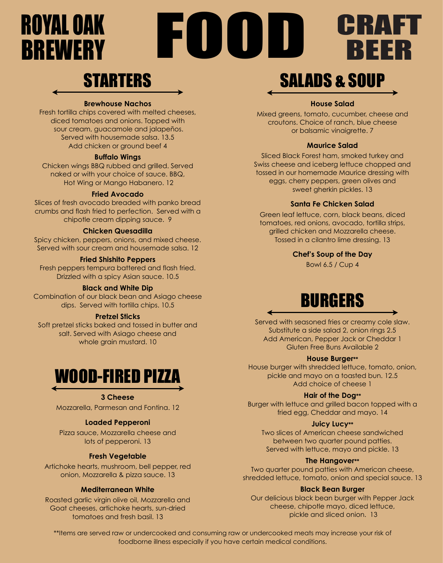# **ROYAL OAK<br>BREWERY**

# **STARTERS**

### **Brewhouse Nachos**

Fresh tortilla chips covered with melted cheeses, diced tomatoes and onions. Topped with sour cream, guacamole and jalapeños. Served with housemade salsa. 13.5 Add chicken or ground beef 4

## **Buffalo Wings**

Chicken wings BBQ rubbed and grilled. Served naked or with your choice of sauce. BBQ, Hot Wing or Mango Habanero. 12

### **Fried Avocado**

Slices of fresh avocado breaded with panko bread crumbs and flash fried to perfection. Served with a chipotle cream dipping sauce. 9

### **Chicken Quesadilla**

Spicy chicken, peppers, onions, and mixed cheese. Served with sour cream and housemade salsa. 12

### **Fried Shishito Peppers**

Fresh peppers tempura battered and flash fried. Drizzled with a spicy Asian sauce. 10.5

## **Black and White Dip**

Combination of our black bean and Asiago cheese dips. Served with tortilla chips. 10.5

### **Pretzel Sticks**

Soft pretzel sticks baked and tossed in butter and salt. Served with Asiago cheese and whole grain mustard. 10



## **3 Cheese**

Mozzarella, Parmesan and Fontina. 12

## **Loaded Pepperoni**

Pizza sauce, Mozzarella cheese and lots of pepperoni. 13

## **Fresh Vegetable**

Artichoke hearts, mushroom, bell pepper, red onion, Mozzarella & pizza sauce. 13

## **Mediterranean White**

Roasted garlic virgin olive oil, Mozzarella and Goat cheeses, artichoke hearts, sun-dried tomatoes and fresh basil. 13

# SALADS & SOUP

CRAFI<br>REER

**RE** 

## **House Salad**

Mixed greens, tomato, cucumber, cheese and croutons. Choice of ranch, blue cheese or balsamic vinaigrette. 7

## **Maurice Salad**

Sliced Black Forest ham, smoked turkey and Swiss cheese and iceberg lettuce chopped and tossed in our homemade Maurice dressing with eggs, cherry peppers, green olives and sweet gherkin pickles. 13

## **Santa Fe Chicken Salad**

Green leaf lettuce, corn, black beans, diced tomatoes, red onions, avocado, tortilla strips, grilled chicken and Mozzarella cheese. Tossed in a cilantro lime dressing. 13

### **Chef's Soup of the Day**

Bowl 6.5 / Cup 4

# BURGERS

Served with seasoned fries or creamy cole slaw. Substitute a side salad 2, onion rings 2.5 Add American, Pepper Jack or Cheddar 1 Gluten Free Buns Available 2

### **House Burger\*\***

House burger with shredded lettuce, tomato, onion, pickle and mayo on a toasted bun. 12.5 Add choice of cheese 1

## **Hair of the Dog\*\***

Burger with lettuce and grilled bacon topped with a fried egg, Cheddar and mayo. 14

### **Juicy Lucy\*\***

Two slices of American cheese sandwiched between two quarter pound patties. Served with lettuce, mayo and pickle. 13

### **The Hangover\*\***

Two quarter pound patties with American cheese, shredded lettuce, tomato, onion and special sauce. 13

### **Black Bean Burger**

Our delicious black bean burger with Pepper Jack cheese, chipotle mayo, diced lettuce, pickle and sliced onion. 13

\*\*Items are served raw or undercooked and consuming raw or undercooked meats may increase your risk of foodborne illness especially if you have certain medical conditions.

FUODID